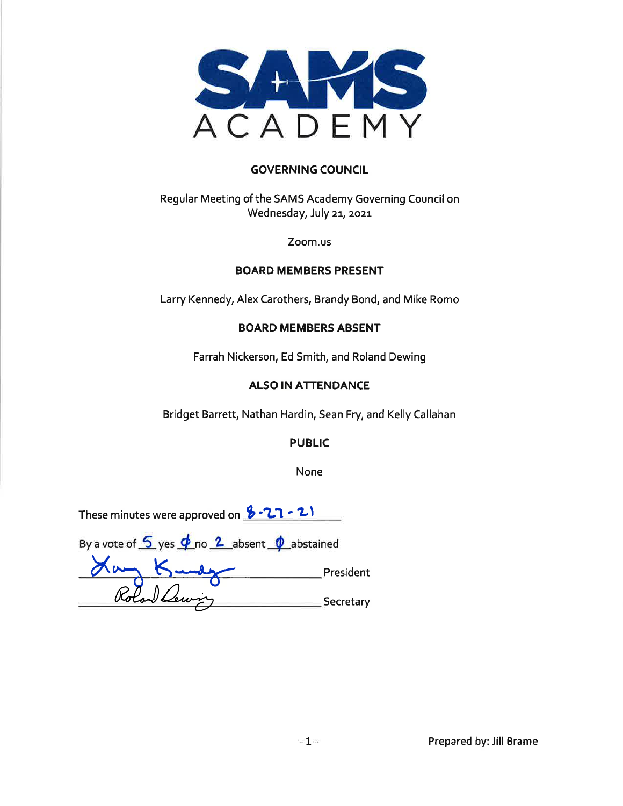

### **GOVERNING COUNCIL**

Regular Meeting of the SAMS Academy Governing Council on Wednesday, July 21, 2021

Zoom.us

### **BOARD MEMBERS PRESENT**

Larry Kennedy, Alex Carothers, Brandy Bond, and Mike Romo

### **BOARD MEMBERS ABSENT**

Farrah Nickerson, Ed Smith, and Roland Dewing

## **ALSO IN ATTENDANCE**

Bridget Barrett, Nathan Hardin, Sean Fry, and Kelly Callahan

**PUBLIC** 

None

| These minutes were approved on $3 - 21 - 21$                                                                     |           |
|------------------------------------------------------------------------------------------------------------------|-----------|
| By a vote of $\frac{6}{5}$ yes $\frac{\phi}{\sqrt{2}}$ no $\frac{2}{5}$ absent $\frac{\phi}{\sqrt{2}}$ abstained |           |
|                                                                                                                  | President |
| Rolan Lewing                                                                                                     | Secretary |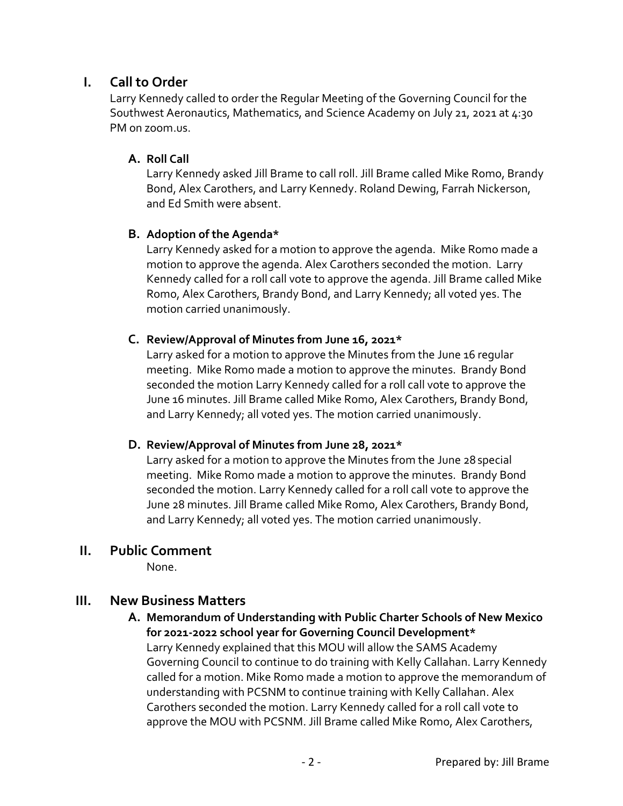# **I. Call to Order**

Larry Kennedy called to order the Regular Meeting of the Governing Council for the Southwest Aeronautics, Mathematics, and Science Academy on July 21, 2021 at 4:30 PM on zoom.us.

## **A. Roll Call**

Larry Kennedy asked Jill Brame to call roll. Jill Brame called Mike Romo, Brandy Bond, Alex Carothers, and Larry Kennedy. Roland Dewing, Farrah Nickerson, and Ed Smith were absent.

### **B. Adoption of the Agenda\***

Larry Kennedy asked for a motion to approve the agenda. Mike Romo made a motion to approve the agenda. Alex Carothers seconded the motion. Larry Kennedy called for a roll call vote to approve the agenda. Jill Brame called Mike Romo, Alex Carothers, Brandy Bond, and Larry Kennedy; all voted yes. The motion carried unanimously.

### **C. Review/Approval of Minutes from June 16, 2021\***

Larry asked for a motion to approve the Minutes from the June 16 regular meeting. Mike Romo made a motion to approve the minutes. Brandy Bond seconded the motion Larry Kennedy called for a roll call vote to approve the June 16 minutes. Jill Brame called Mike Romo, Alex Carothers, Brandy Bond, and Larry Kennedy; all voted yes. The motion carried unanimously.

### **D. Review/Approval of Minutes from June 28, 2021\***

Larry asked for a motion to approve the Minutes from the June 28special meeting. Mike Romo made a motion to approve the minutes. Brandy Bond seconded the motion. Larry Kennedy called for a roll call vote to approve the June 28 minutes. Jill Brame called Mike Romo, Alex Carothers, Brandy Bond, and Larry Kennedy; all voted yes. The motion carried unanimously.

## **II. Public Comment**

None.

# **III. New Business Matters**

**A. Memorandum of Understanding with Public Charter Schools of New Mexico for 2021-2022 school year for Governing Council Development\***  Larry Kennedy explained that this MOU will allow the SAMS Academy Governing Council to continue to do training with Kelly Callahan. Larry Kennedy called for a motion. Mike Romo made a motion to approve the memorandum of understanding with PCSNM to continue training with Kelly Callahan. Alex Carothers seconded the motion. Larry Kennedy called for a roll call vote to approve the MOU with PCSNM. Jill Brame called Mike Romo, Alex Carothers,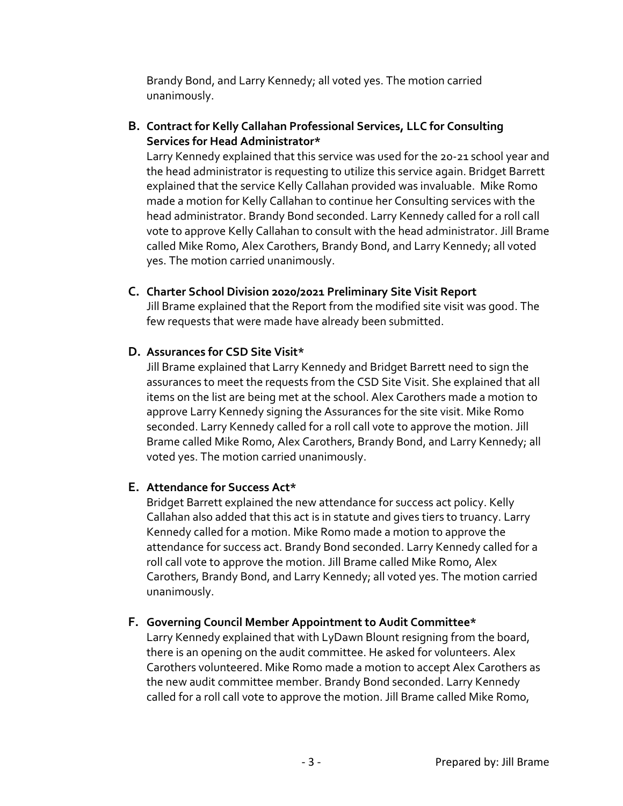Brandy Bond, and Larry Kennedy; all voted yes. The motion carried unanimously.

**B. Contract for Kelly Callahan Professional Services, LLC for Consulting Services for Head Administrator\*** 

Larry Kennedy explained that this service was used for the 20-21 school year and the head administrator is requesting to utilize this service again. Bridget Barrett explained that the service Kelly Callahan provided was invaluable. Mike Romo made a motion for Kelly Callahan to continue her Consulting services with the head administrator. Brandy Bond seconded. Larry Kennedy called for a roll call vote to approve Kelly Callahan to consult with the head administrator. Jill Brame called Mike Romo, Alex Carothers, Brandy Bond, and Larry Kennedy; all voted yes. The motion carried unanimously.

**C. Charter School Division 2020/2021 Preliminary Site Visit Report** 

Jill Brame explained that the Report from the modified site visit was good. The few requests that were made have already been submitted.

## **D. Assurances for CSD Site Visit\***

Jill Brame explained that Larry Kennedy and Bridget Barrett need to sign the assurances to meet the requests from the CSD Site Visit. She explained that all items on the list are being met at the school. Alex Carothers made a motion to approve Larry Kennedy signing the Assurances for the site visit. Mike Romo seconded. Larry Kennedy called for a roll call vote to approve the motion. Jill Brame called Mike Romo, Alex Carothers, Brandy Bond, and Larry Kennedy; all voted yes. The motion carried unanimously.

### **E. Attendance for Success Act\***

Bridget Barrett explained the new attendance for success act policy. Kelly Callahan also added that this act is in statute and gives tiers to truancy. Larry Kennedy called for a motion. Mike Romo made a motion to approve the attendance for success act. Brandy Bond seconded. Larry Kennedy called for a roll call vote to approve the motion. Jill Brame called Mike Romo, Alex Carothers, Brandy Bond, and Larry Kennedy; all voted yes. The motion carried unanimously.

### **F. Governing Council Member Appointment to Audit Committee\***

Larry Kennedy explained that with LyDawn Blount resigning from the board, there is an opening on the audit committee. He asked for volunteers. Alex Carothers volunteered. Mike Romo made a motion to accept Alex Carothers as the new audit committee member. Brandy Bond seconded. Larry Kennedy called for a roll call vote to approve the motion. Jill Brame called Mike Romo,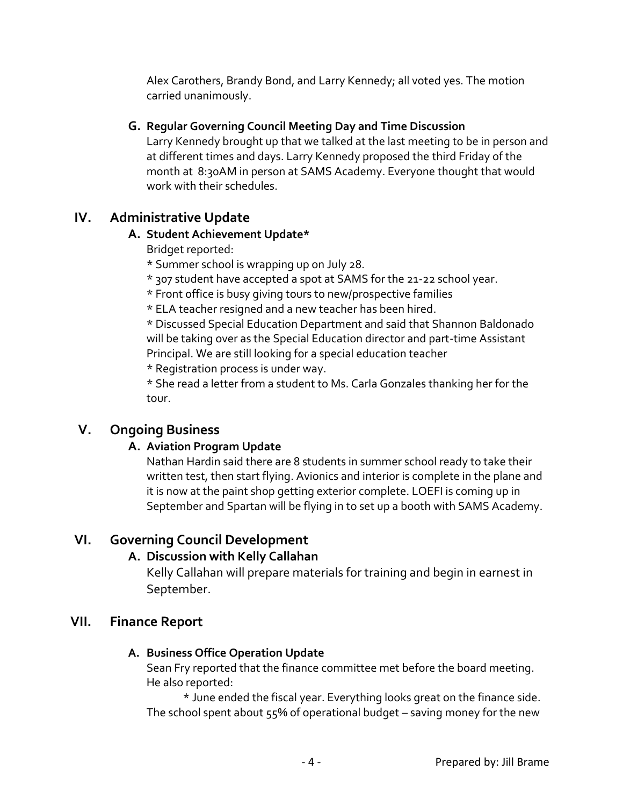Alex Carothers, Brandy Bond, and Larry Kennedy; all voted yes. The motion carried unanimously.

## **G. Regular Governing Council Meeting Day and Time Discussion**

Larry Kennedy brought up that we talked at the last meeting to be in person and at different times and days. Larry Kennedy proposed the third Friday of the month at 8:30AM in person at SAMS Academy. Everyone thought that would work with their schedules.

# **IV. Administrative Update**

## **A. Student Achievement Update\***

- Bridget reported:
- \* Summer school is wrapping up on July 28.
- \* 307 student have accepted a spot at SAMS for the 21-22 school year.
- \* Front office is busy giving tours to new/prospective families
- \* ELA teacher resigned and a new teacher has been hired.

\* Discussed Special Education Department and said that Shannon Baldonado will be taking over as the Special Education director and part-time Assistant Principal. We are still looking for a special education teacher

\* Registration process is under way.

\* She read a letter from a student to Ms. Carla Gonzales thanking her for the tour.

# **V. Ongoing Business**

# **A. Aviation Program Update**

Nathan Hardin said there are 8 students in summer school ready to take their written test, then start flying. Avionics and interior is complete in the plane and it is now at the paint shop getting exterior complete. LOEFI is coming up in September and Spartan will be flying in to set up a booth with SAMS Academy.

# **VI. Governing Council Development**

# **A. Discussion with Kelly Callahan**

Kelly Callahan will prepare materials for training and begin in earnest in September.

# **VII. Finance Report**

# **A. Business Office Operation Update**

Sean Fry reported that the finance committee met before the board meeting. He also reported:

\* June ended the fiscal year. Everything looks great on the finance side. The school spent about 55% of operational budget – saving money for the new